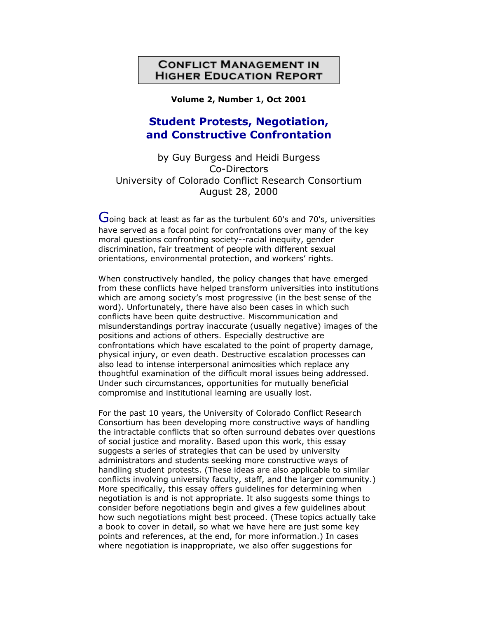# **CONFLICT MANAGEMENT IN HIGHER EDUCATION REPORT**

**Volume 2, Number 1, Oct 2001**

# **Student Protests, Negotiation, and Constructive Confrontation**

by Guy Burgess and Heidi Burgess Co-Directors University of Colorado Conflict Research Consortium August 28, 2000

Going back at least as far as the turbulent 60's and 70's, universities have served as a focal point for confrontations over many of the key moral questions confronting society--racial inequity, gender discrimination, fair treatment of people with different sexual orientations, environmental protection, and workers' rights.

When constructively handled, the policy changes that have emerged from these conflicts have helped transform universities into institutions which are among society's most progressive (in the best sense of the word). Unfortunately, there have also been cases in which such conflicts have been quite destructive. Miscommunication and misunderstandings portray inaccurate (usually negative) images of the positions and actions of others. Especially destructive are confrontations which have escalated to the point of property damage, physical injury, or even death. Destructive escalation processes can also lead to intense interpersonal animosities which replace any thoughtful examination of the difficult moral issues being addressed. Under such circumstances, opportunities for mutually beneficial compromise and institutional learning are usually lost.

For the past 10 years, the University of Colorado Conflict Research Consortium has been developing more constructive ways of handling the intractable conflicts that so often surround debates over questions of social justice and morality. Based upon this work, this essay suggests a series of strategies that can be used by university administrators and students seeking more constructive ways of handling student protests. (These ideas are also applicable to similar conflicts involving university faculty, staff, and the larger community.) More specifically, this essay offers guidelines for determining when negotiation is and is not appropriate. It also suggests some things to consider before negotiations begin and gives a few guidelines about how such negotiations might best proceed. (These topics actually take a book to cover in detail, so what we have here are just some key points and references, at the end, for more information.) In cases where negotiation is inappropriate, we also offer suggestions for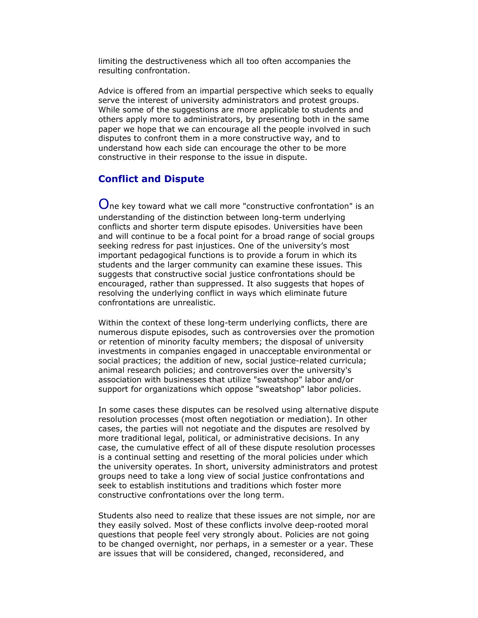limiting the destructiveness which all too often accompanies the resulting confrontation.

Advice is offered from an impartial perspective which seeks to equally serve the interest of university administrators and protest groups. While some of the suggestions are more applicable to students and others apply more to administrators, by presenting both in the same paper we hope that we can encourage all the people involved in such disputes to confront them in a more constructive way, and to understand how each side can encourage the other to be more constructive in their response to the issue in dispute.

#### **Conflict and Dispute**

One key toward what we call more "constructive confrontation" is an understanding of the distinction between long-term underlying conflicts and shorter term dispute episodes. Universities have been and will continue to be a focal point for a broad range of social groups seeking redress for past injustices. One of the university's most important pedagogical functions is to provide a forum in which its students and the larger community can examine these issues. This suggests that constructive social justice confrontations should be encouraged, rather than suppressed. It also suggests that hopes of resolving the underlying conflict in ways which eliminate future confrontations are unrealistic.

Within the context of these long-term underlying conflicts, there are numerous dispute episodes, such as controversies over the promotion or retention of minority faculty members; the disposal of university investments in companies engaged in unacceptable environmental or social practices; the addition of new, social justice-related curricula; animal research policies; and controversies over the university's association with businesses that utilize "sweatshop" labor and/or support for organizations which oppose "sweatshop" labor policies.

In some cases these disputes can be resolved using alternative dispute resolution processes (most often negotiation or mediation). In other cases, the parties will not negotiate and the disputes are resolved by more traditional legal, political, or administrative decisions. In any case, the cumulative effect of all of these dispute resolution processes is a continual setting and resetting of the moral policies under which the university operates. In short, university administrators and protest groups need to take a long view of social justice confrontations and seek to establish institutions and traditions which foster more constructive confrontations over the long term.

Students also need to realize that these issues are not simple, nor are they easily solved. Most of these conflicts involve deep-rooted moral questions that people feel very strongly about. Policies are not going to be changed overnight, nor perhaps, in a semester or a year. These are issues that will be considered, changed, reconsidered, and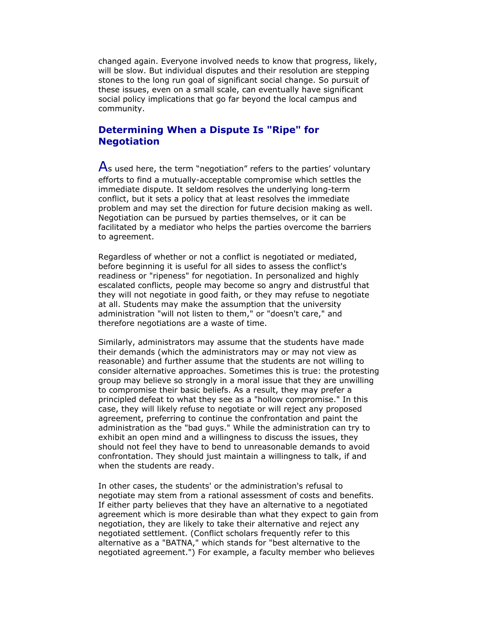changed again. Everyone involved needs to know that progress, likely, will be slow. But individual disputes and their resolution are stepping stones to the long run goal of significant social change. So pursuit of these issues, even on a small scale, can eventually have significant social policy implications that go far beyond the local campus and community.

# **Determining When a Dispute Is "Ripe" for Negotiation**

As used here, the term "negotiation" refers to the parties' voluntary efforts to find a mutually-acceptable compromise which settles the immediate dispute. It seldom resolves the underlying long-term conflict, but it sets a policy that at least resolves the immediate problem and may set the direction for future decision making as well. Negotiation can be pursued by parties themselves, or it can be facilitated by a mediator who helps the parties overcome the barriers to agreement.

Regardless of whether or not a conflict is negotiated or mediated, before beginning it is useful for all sides to assess the conflict's readiness or "ripeness" for negotiation. In personalized and highly escalated conflicts, people may become so angry and distrustful that they will not negotiate in good faith, or they may refuse to negotiate at all. Students may make the assumption that the university administration "will not listen to them," or "doesn't care," and therefore negotiations are a waste of time.

Similarly, administrators may assume that the students have made their demands (which the administrators may or may not view as reasonable) and further assume that the students are not willing to consider alternative approaches. Sometimes this is true: the protesting group may believe so strongly in a moral issue that they are unwilling to compromise their basic beliefs. As a result, they may prefer a principled defeat to what they see as a "hollow compromise." In this case, they will likely refuse to negotiate or will reject any proposed agreement, preferring to continue the confrontation and paint the administration as the "bad guys." While the administration can try to exhibit an open mind and a willingness to discuss the issues, they should not feel they have to bend to unreasonable demands to avoid confrontation. They should just maintain a willingness to talk, if and when the students are ready.

In other cases, the students' or the administration's refusal to negotiate may stem from a rational assessment of costs and benefits. If either party believes that they have an alternative to a negotiated agreement which is more desirable than what they expect to gain from negotiation, they are likely to take their alternative and reject any negotiated settlement. (Conflict scholars frequently refer to this alternative as a "BATNA," which stands for "best alternative to the negotiated agreement.") For example, a faculty member who believes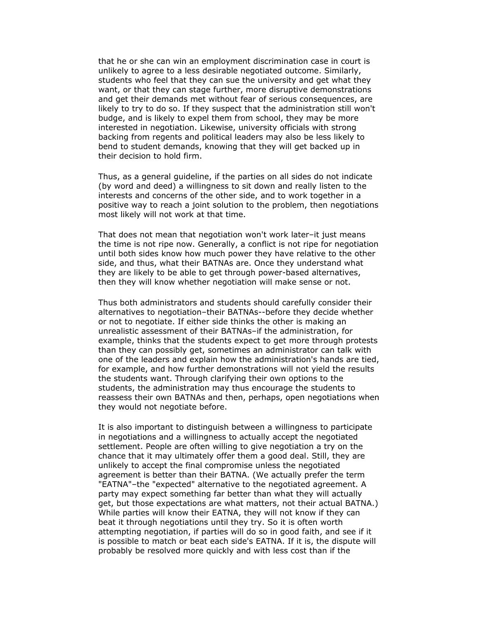that he or she can win an employment discrimination case in court is unlikely to agree to a less desirable negotiated outcome. Similarly, students who feel that they can sue the university and get what they want, or that they can stage further, more disruptive demonstrations and get their demands met without fear of serious consequences, are likely to try to do so. If they suspect that the administration still won't budge, and is likely to expel them from school, they may be more interested in negotiation. Likewise, university officials with strong backing from regents and political leaders may also be less likely to bend to student demands, knowing that they will get backed up in their decision to hold firm.

Thus, as a general guideline, if the parties on all sides do not indicate (by word and deed) a willingness to sit down and really listen to the interests and concerns of the other side, and to work together in a positive way to reach a joint solution to the problem, then negotiations most likely will not work at that time.

That does not mean that negotiation won't work later–it just means the time is not ripe now. Generally, a conflict is not ripe for negotiation until both sides know how much power they have relative to the other side, and thus, what their BATNAs are. Once they understand what they are likely to be able to get through power-based alternatives, then they will know whether negotiation will make sense or not.

Thus both administrators and students should carefully consider their alternatives to negotiation–their BATNAs--before they decide whether or not to negotiate. If either side thinks the other is making an unrealistic assessment of their BATNAs–if the administration, for example, thinks that the students expect to get more through protests than they can possibly get, sometimes an administrator can talk with one of the leaders and explain how the administration's hands are tied, for example, and how further demonstrations will not yield the results the students want. Through clarifying their own options to the students, the administration may thus encourage the students to reassess their own BATNAs and then, perhaps, open negotiations when they would not negotiate before.

It is also important to distinguish between a willingness to participate in negotiations and a willingness to actually accept the negotiated settlement. People are often willing to give negotiation a try on the chance that it may ultimately offer them a good deal. Still, they are unlikely to accept the final compromise unless the negotiated agreement is better than their BATNA. (We actually prefer the term "EATNA"–the "expected" alternative to the negotiated agreement. A party may expect something far better than what they will actually get, but those expectations are what matters, not their actual BATNA.) While parties will know their EATNA, they will not know if they can beat it through negotiations until they try. So it is often worth attempting negotiation, if parties will do so in good faith, and see if it is possible to match or beat each side's EATNA. If it is, the dispute will probably be resolved more quickly and with less cost than if the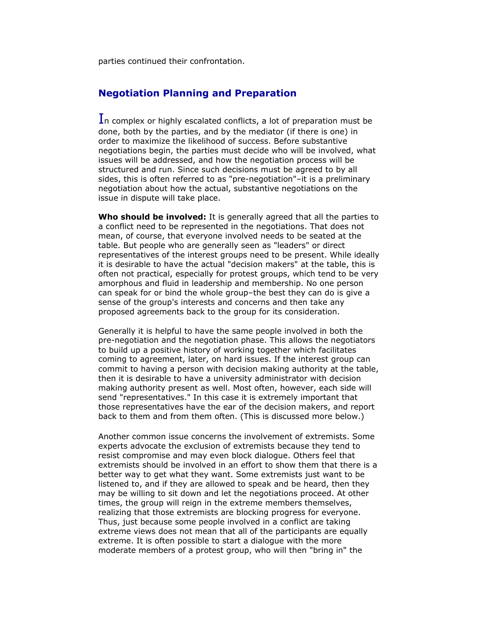parties continued their confrontation.

#### **Negotiation Planning and Preparation**

In complex or highly escalated conflicts, a lot of preparation must be done, both by the parties, and by the mediator (if there is one) in order to maximize the likelihood of success. Before substantive negotiations begin, the parties must decide who will be involved, what issues will be addressed, and how the negotiation process will be structured and run. Since such decisions must be agreed to by all sides, this is often referred to as "pre-negotiation"–it is a preliminary negotiation about how the actual, substantive negotiations on the issue in dispute will take place.

**Who should be involved:** It is generally agreed that all the parties to a conflict need to be represented in the negotiations. That does not mean, of course, that everyone involved needs to be seated at the table. But people who are generally seen as "leaders" or direct representatives of the interest groups need to be present. While ideally it is desirable to have the actual "decision makers" at the table, this is often not practical, especially for protest groups, which tend to be very amorphous and fluid in leadership and membership. No one person can speak for or bind the whole group–the best they can do is give a sense of the group's interests and concerns and then take any proposed agreements back to the group for its consideration.

Generally it is helpful to have the same people involved in both the pre-negotiation and the negotiation phase. This allows the negotiators to build up a positive history of working together which facilitates coming to agreement, later, on hard issues. If the interest group can commit to having a person with decision making authority at the table, then it is desirable to have a university administrator with decision making authority present as well. Most often, however, each side will send "representatives." In this case it is extremely important that those representatives have the ear of the decision makers, and report back to them and from them often. (This is discussed more below.)

Another common issue concerns the involvement of extremists. Some experts advocate the exclusion of extremists because they tend to resist compromise and may even block dialogue. Others feel that extremists should be involved in an effort to show them that there is a better way to get what they want. Some extremists just want to be listened to, and if they are allowed to speak and be heard, then they may be willing to sit down and let the negotiations proceed. At other times, the group will reign in the extreme members themselves, realizing that those extremists are blocking progress for everyone. Thus, just because some people involved in a conflict are taking extreme views does not mean that all of the participants are equally extreme. It is often possible to start a dialogue with the more moderate members of a protest group, who will then "bring in" the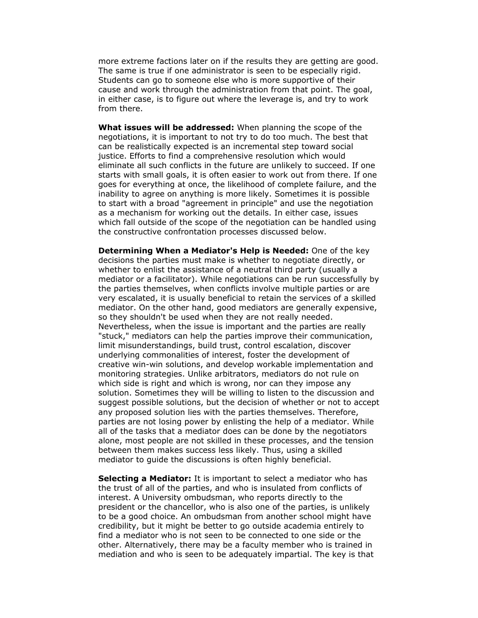more extreme factions later on if the results they are getting are good. The same is true if one administrator is seen to be especially rigid. Students can go to someone else who is more supportive of their cause and work through the administration from that point. The goal, in either case, is to figure out where the leverage is, and try to work from there.

**What issues will be addressed:** When planning the scope of the negotiations, it is important to not try to do too much. The best that can be realistically expected is an incremental step toward social justice. Efforts to find a comprehensive resolution which would eliminate all such conflicts in the future are unlikely to succeed. If one starts with small goals, it is often easier to work out from there. If one goes for everything at once, the likelihood of complete failure, and the inability to agree on anything is more likely. Sometimes it is possible to start with a broad "agreement in principle" and use the negotiation as a mechanism for working out the details. In either case, issues which fall outside of the scope of the negotiation can be handled using the constructive confrontation processes discussed below.

**Determining When a Mediator's Help is Needed:** One of the key decisions the parties must make is whether to negotiate directly, or whether to enlist the assistance of a neutral third party (usually a mediator or a facilitator). While negotiations can be run successfully by the parties themselves, when conflicts involve multiple parties or are very escalated, it is usually beneficial to retain the services of a skilled mediator. On the other hand, good mediators are generally expensive, so they shouldn't be used when they are not really needed. Nevertheless, when the issue is important and the parties are really "stuck," mediators can help the parties improve their communication, limit misunderstandings, build trust, control escalation, discover underlying commonalities of interest, foster the development of creative win-win solutions, and develop workable implementation and monitoring strategies. Unlike arbitrators, mediators do not rule on which side is right and which is wrong, nor can they impose any solution. Sometimes they will be willing to listen to the discussion and suggest possible solutions, but the decision of whether or not to accept any proposed solution lies with the parties themselves. Therefore, parties are not losing power by enlisting the help of a mediator. While all of the tasks that a mediator does can be done by the negotiators alone, most people are not skilled in these processes, and the tension between them makes success less likely. Thus, using a skilled mediator to guide the discussions is often highly beneficial.

**Selecting a Mediator:** It is important to select a mediator who has the trust of all of the parties, and who is insulated from conflicts of interest. A University ombudsman, who reports directly to the president or the chancellor, who is also one of the parties, is unlikely to be a good choice. An ombudsman from another school might have credibility, but it might be better to go outside academia entirely to find a mediator who is not seen to be connected to one side or the other. Alternatively, there may be a faculty member who is trained in mediation and who is seen to be adequately impartial. The key is that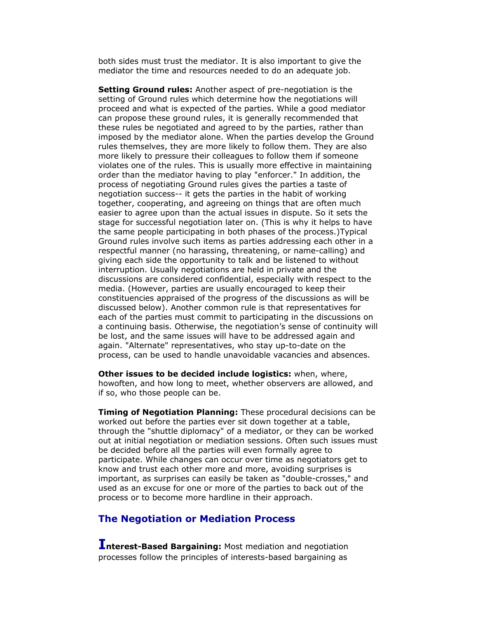both sides must trust the mediator. It is also important to give the mediator the time and resources needed to do an adequate job.

**Setting Ground rules:** Another aspect of pre-negotiation is the setting of Ground rules which determine how the negotiations will proceed and what is expected of the parties. While a good mediator can propose these ground rules, it is generally recommended that these rules be negotiated and agreed to by the parties, rather than imposed by the mediator alone. When the parties develop the Ground rules themselves, they are more likely to follow them. They are also more likely to pressure their colleagues to follow them if someone violates one of the rules. This is usually more effective in maintaining order than the mediator having to play "enforcer." In addition, the process of negotiating Ground rules gives the parties a taste of negotiation success-- it gets the parties in the habit of working together, cooperating, and agreeing on things that are often much easier to agree upon than the actual issues in dispute. So it sets the stage for successful negotiation later on. (This is why it helps to have the same people participating in both phases of the process.)Typical Ground rules involve such items as parties addressing each other in a respectful manner (no harassing, threatening, or name-calling) and giving each side the opportunity to talk and be listened to without interruption. Usually negotiations are held in private and the discussions are considered confidential, especially with respect to the media. (However, parties are usually encouraged to keep their constituencies appraised of the progress of the discussions as will be discussed below). Another common rule is that representatives for each of the parties must commit to participating in the discussions on a continuing basis. Otherwise, the negotiation's sense of continuity will be lost, and the same issues will have to be addressed again and again. "Alternate" representatives, who stay up-to-date on the process, can be used to handle unavoidable vacancies and absences.

**Other issues to be decided include logistics:** when, where, howoften, and how long to meet, whether observers are allowed, and if so, who those people can be.

**Timing of Negotiation Planning:** These procedural decisions can be worked out before the parties ever sit down together at a table, through the "shuttle diplomacy" of a mediator, or they can be worked out at initial negotiation or mediation sessions. Often such issues must be decided before all the parties will even formally agree to participate. While changes can occur over time as negotiators get to know and trust each other more and more, avoiding surprises is important, as surprises can easily be taken as "double-crosses," and used as an excuse for one or more of the parties to back out of the process or to become more hardline in their approach.

#### **The Negotiation or Mediation Process**

**Interest-Based Bargaining:** Most mediation and negotiation processes follow the principles of interests-based bargaining as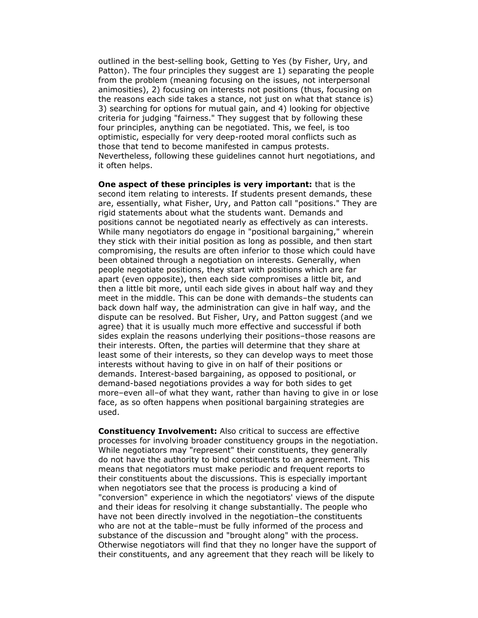outlined in the best-selling book, Getting to Yes (by Fisher, Ury, and Patton). The four principles they suggest are 1) separating the people from the problem (meaning focusing on the issues, not interpersonal animosities), 2) focusing on interests not positions (thus, focusing on the reasons each side takes a stance, not just on what that stance is) 3) searching for options for mutual gain, and 4) looking for objective criteria for judging "fairness." They suggest that by following these four principles, anything can be negotiated. This, we feel, is too optimistic, especially for very deep-rooted moral conflicts such as those that tend to become manifested in campus protests. Nevertheless, following these guidelines cannot hurt negotiations, and it often helps.

**One aspect of these principles is very important:** that is the second item relating to interests. If students present demands, these are, essentially, what Fisher, Ury, and Patton call "positions." They are rigid statements about what the students want. Demands and positions cannot be negotiated nearly as effectively as can interests. While many negotiators do engage in "positional bargaining," wherein they stick with their initial position as long as possible, and then start compromising, the results are often inferior to those which could have been obtained through a negotiation on interests. Generally, when people negotiate positions, they start with positions which are far apart (even opposite), then each side compromises a little bit, and then a little bit more, until each side gives in about half way and they meet in the middle. This can be done with demands–the students can back down half way, the administration can give in half way, and the dispute can be resolved. But Fisher, Ury, and Patton suggest (and we agree) that it is usually much more effective and successful if both sides explain the reasons underlying their positions–those reasons are their interests. Often, the parties will determine that they share at least some of their interests, so they can develop ways to meet those interests without having to give in on half of their positions or demands. Interest-based bargaining, as opposed to positional, or demand-based negotiations provides a way for both sides to get more–even all–of what they want, rather than having to give in or lose face, as so often happens when positional bargaining strategies are used.

**Constituency Involvement:** Also critical to success are effective processes for involving broader constituency groups in the negotiation. While negotiators may "represent" their constituents, they generally do not have the authority to bind constituents to an agreement. This means that negotiators must make periodic and frequent reports to their constituents about the discussions. This is especially important when negotiators see that the process is producing a kind of "conversion" experience in which the negotiators' views of the dispute and their ideas for resolving it change substantially. The people who have not been directly involved in the negotiation–the constituents who are not at the table–must be fully informed of the process and substance of the discussion and "brought along" with the process. Otherwise negotiators will find that they no longer have the support of their constituents, and any agreement that they reach will be likely to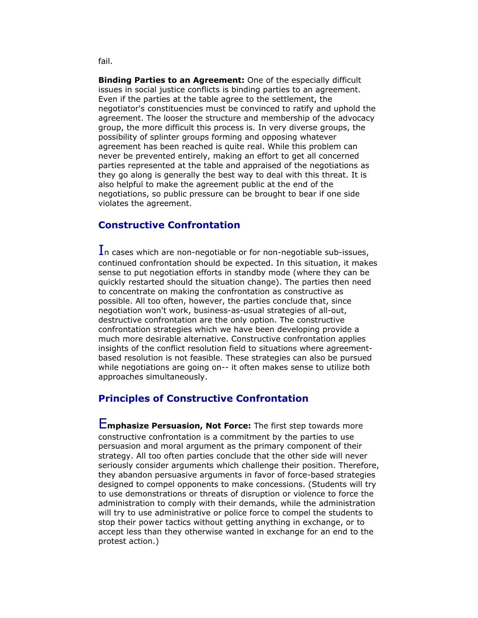**Binding Parties to an Agreement:** One of the especially difficult issues in social justice conflicts is binding parties to an agreement. Even if the parties at the table agree to the settlement, the negotiator's constituencies must be convinced to ratify and uphold the agreement. The looser the structure and membership of the advocacy group, the more difficult this process is. In very diverse groups, the possibility of splinter groups forming and opposing whatever agreement has been reached is quite real. While this problem can never be prevented entirely, making an effort to get all concerned parties represented at the table and appraised of the negotiations as they go along is generally the best way to deal with this threat. It is also helpful to make the agreement public at the end of the negotiations, so public pressure can be brought to bear if one side violates the agreement.

# **Constructive Confrontation**

In cases which are non-negotiable or for non-negotiable sub-issues, continued confrontation should be expected. In this situation, it makes sense to put negotiation efforts in standby mode (where they can be quickly restarted should the situation change). The parties then need to concentrate on making the confrontation as constructive as possible. All too often, however, the parties conclude that, since negotiation won't work, business-as-usual strategies of all-out, destructive confrontation are the only option. The constructive confrontation strategies which we have been developing provide a much more desirable alternative. Constructive confrontation applies insights of the conflict resolution field to situations where agreementbased resolution is not feasible. These strategies can also be pursued while negotiations are going on-- it often makes sense to utilize both approaches simultaneously.

#### **Principles of Constructive Confrontation**

E**mphasize Persuasion, Not Force:** The first step towards more constructive confrontation is a commitment by the parties to use persuasion and moral argument as the primary component of their strategy. All too often parties conclude that the other side will never seriously consider arguments which challenge their position. Therefore, they abandon persuasive arguments in favor of force-based strategies designed to compel opponents to make concessions. (Students will try to use demonstrations or threats of disruption or violence to force the administration to comply with their demands, while the administration will try to use administrative or police force to compel the students to stop their power tactics without getting anything in exchange, or to accept less than they otherwise wanted in exchange for an end to the protest action.)

fail.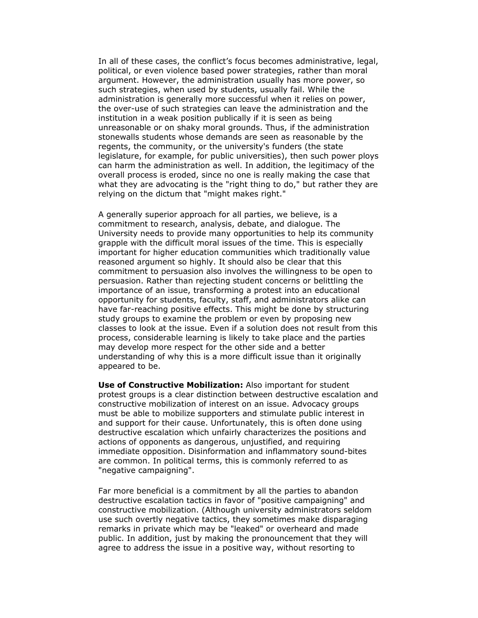In all of these cases, the conflict's focus becomes administrative, legal, political, or even violence based power strategies, rather than moral argument. However, the administration usually has more power, so such strategies, when used by students, usually fail. While the administration is generally more successful when it relies on power, the over-use of such strategies can leave the administration and the institution in a weak position publically if it is seen as being unreasonable or on shaky moral grounds. Thus, if the administration stonewalls students whose demands are seen as reasonable by the regents, the community, or the university's funders (the state legislature, for example, for public universities), then such power ploys can harm the administration as well. In addition, the legitimacy of the overall process is eroded, since no one is really making the case that what they are advocating is the "right thing to do," but rather they are relying on the dictum that "might makes right."

A generally superior approach for all parties, we believe, is a commitment to research, analysis, debate, and dialogue. The University needs to provide many opportunities to help its community grapple with the difficult moral issues of the time. This is especially important for higher education communities which traditionally value reasoned argument so highly. It should also be clear that this commitment to persuasion also involves the willingness to be open to persuasion. Rather than rejecting student concerns or belittling the importance of an issue, transforming a protest into an educational opportunity for students, faculty, staff, and administrators alike can have far-reaching positive effects. This might be done by structuring study groups to examine the problem or even by proposing new classes to look at the issue. Even if a solution does not result from this process, considerable learning is likely to take place and the parties may develop more respect for the other side and a better understanding of why this is a more difficult issue than it originally appeared to be.

**Use of Constructive Mobilization:** Also important for student protest groups is a clear distinction between destructive escalation and constructive mobilization of interest on an issue. Advocacy groups must be able to mobilize supporters and stimulate public interest in and support for their cause. Unfortunately, this is often done using destructive escalation which unfairly characterizes the positions and actions of opponents as dangerous, unjustified, and requiring immediate opposition. Disinformation and inflammatory sound-bites are common. In political terms, this is commonly referred to as "negative campaigning".

Far more beneficial is a commitment by all the parties to abandon destructive escalation tactics in favor of "positive campaigning" and constructive mobilization. (Although university administrators seldom use such overtly negative tactics, they sometimes make disparaging remarks in private which may be "leaked" or overheard and made public. In addition, just by making the pronouncement that they will agree to address the issue in a positive way, without resorting to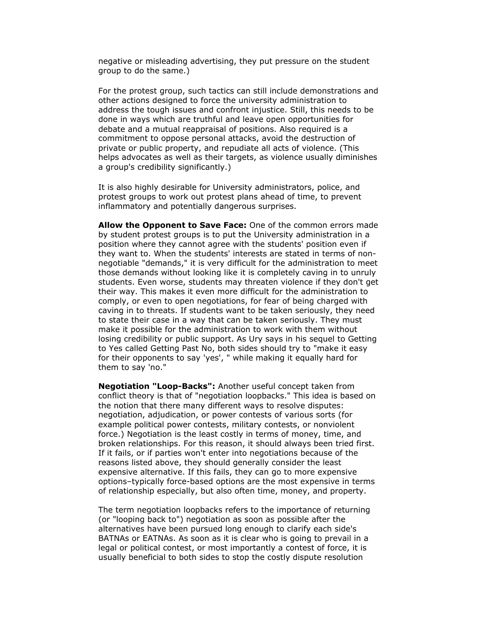negative or misleading advertising, they put pressure on the student group to do the same.)

For the protest group, such tactics can still include demonstrations and other actions designed to force the university administration to address the tough issues and confront injustice. Still, this needs to be done in ways which are truthful and leave open opportunities for debate and a mutual reappraisal of positions. Also required is a commitment to oppose personal attacks, avoid the destruction of private or public property, and repudiate all acts of violence. (This helps advocates as well as their targets, as violence usually diminishes a group's credibility significantly.)

It is also highly desirable for University administrators, police, and protest groups to work out protest plans ahead of time, to prevent inflammatory and potentially dangerous surprises.

**Allow the Opponent to Save Face:** One of the common errors made by student protest groups is to put the University administration in a position where they cannot agree with the students' position even if they want to. When the students' interests are stated in terms of nonnegotiable "demands," it is very difficult for the administration to meet those demands without looking like it is completely caving in to unruly students. Even worse, students may threaten violence if they don't get their way. This makes it even more difficult for the administration to comply, or even to open negotiations, for fear of being charged with caving in to threats. If students want to be taken seriously, they need to state their case in a way that can be taken seriously. They must make it possible for the administration to work with them without losing credibility or public support. As Ury says in his sequel to Getting to Yes called Getting Past No, both sides should try to "make it easy for their opponents to say 'yes', " while making it equally hard for them to say 'no."

**Negotiation "Loop-Backs":** Another useful concept taken from conflict theory is that of "negotiation loopbacks." This idea is based on the notion that there many different ways to resolve disputes: negotiation, adjudication, or power contests of various sorts (for example political power contests, military contests, or nonviolent force.) Negotiation is the least costly in terms of money, time, and broken relationships. For this reason, it should always been tried first. If it fails, or if parties won't enter into negotiations because of the reasons listed above, they should generally consider the least expensive alternative. If this fails, they can go to more expensive options–typically force-based options are the most expensive in terms of relationship especially, but also often time, money, and property.

The term negotiation loopbacks refers to the importance of returning (or "looping back to") negotiation as soon as possible after the alternatives have been pursued long enough to clarify each side's BATNAs or EATNAs. As soon as it is clear who is going to prevail in a legal or political contest, or most importantly a contest of force, it is usually beneficial to both sides to stop the costly dispute resolution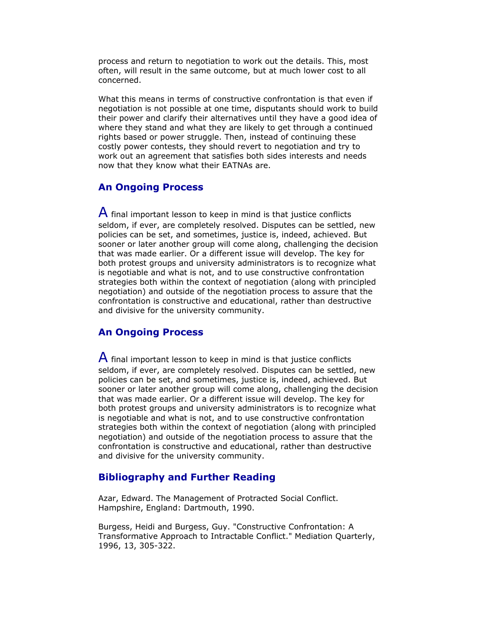process and return to negotiation to work out the details. This, most often, will result in the same outcome, but at much lower cost to all concerned.

What this means in terms of constructive confrontation is that even if negotiation is not possible at one time, disputants should work to build their power and clarify their alternatives until they have a good idea of where they stand and what they are likely to get through a continued rights based or power struggle. Then, instead of continuing these costly power contests, they should revert to negotiation and try to work out an agreement that satisfies both sides interests and needs now that they know what their EATNAs are.

### **An Ongoing Process**

 $\mathsf A$  final important lesson to keep in mind is that justice conflicts seldom, if ever, are completely resolved. Disputes can be settled, new policies can be set, and sometimes, justice is, indeed, achieved. But sooner or later another group will come along, challenging the decision that was made earlier. Or a different issue will develop. The key for both protest groups and university administrators is to recognize what is negotiable and what is not, and to use constructive confrontation strategies both within the context of negotiation (along with principled negotiation) and outside of the negotiation process to assure that the confrontation is constructive and educational, rather than destructive and divisive for the university community.

### **An Ongoing Process**

 $\overline{A}$  final important lesson to keep in mind is that justice conflicts seldom, if ever, are completely resolved. Disputes can be settled, new policies can be set, and sometimes, justice is, indeed, achieved. But sooner or later another group will come along, challenging the decision that was made earlier. Or a different issue will develop. The key for both protest groups and university administrators is to recognize what is negotiable and what is not, and to use constructive confrontation strategies both within the context of negotiation (along with principled negotiation) and outside of the negotiation process to assure that the confrontation is constructive and educational, rather than destructive and divisive for the university community.

### **Bibliography and Further Reading**

Azar, Edward. The Management of Protracted Social Conflict. Hampshire, England: Dartmouth, 1990.

Burgess, Heidi and Burgess, Guy. "Constructive Confrontation: A Transformative Approach to Intractable Conflict." Mediation Quarterly, 1996, 13, 305-322.